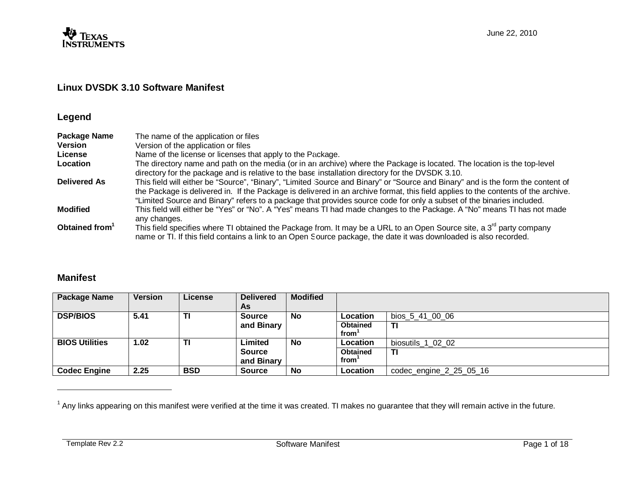

# **Linux DVSDK 3.10 Software Manifest**

# **Legend**

| <b>Package Name</b>        | The name of the application or files                                                                                                                                                                                                                                                                                                                                                          |
|----------------------------|-----------------------------------------------------------------------------------------------------------------------------------------------------------------------------------------------------------------------------------------------------------------------------------------------------------------------------------------------------------------------------------------------|
| <b>Version</b>             | Version of the application or files                                                                                                                                                                                                                                                                                                                                                           |
| License                    | Name of the license or licenses that apply to the Package.                                                                                                                                                                                                                                                                                                                                    |
| Location                   | The directory name and path on the media (or in an archive) where the Package is located. The location is the top-level<br>directory for the package and is relative to the base installation directory for the DVSDK 3.10.                                                                                                                                                                   |
| <b>Delivered As</b>        | This field will either be "Source", "Binary", "Limited Source and Binary" or "Source and Binary" and is the form the content of<br>the Package is delivered in. If the Package is delivered in an archive format, this field applies to the contents of the archive.<br>"Limited Source and Binary" refers to a package that provides source code for only a subset of the binaries included. |
| <b>Modified</b>            | This field will either be "Yes" or "No". A "Yes" means TI had made changes to the Package. A "No" means TI has not made<br>any changes.                                                                                                                                                                                                                                                       |
| Obtained from <sup>1</sup> | This field specifies where TI obtained the Package from. It may be a URL to an Open Source site, a 3 <sup>rd</sup> party company<br>name or TI. If this field contains a link to an Open Source package, the date it was downloaded is also recorded.                                                                                                                                         |

# **Manifest**

| <b>Package Name</b>   | <b>Version</b> | <b>License</b> | <b>Delivered</b><br>As      | <b>Modified</b> |                         |                         |
|-----------------------|----------------|----------------|-----------------------------|-----------------|-------------------------|-------------------------|
| <b>DSP/BIOS</b>       | 5.41           | TI             | <b>Source</b>               | <b>No</b>       | Location                | bios 5 41 00 06         |
|                       |                |                | and Binary                  |                 | <b>Obtained</b><br>from | ΤI                      |
| <b>BIOS Utilities</b> | 1.02           | ΤI             | Limited                     | <b>No</b>       | Location                | biosutils 1 02 02       |
|                       |                |                | <b>Source</b><br>and Binary |                 | <b>Obtained</b><br>from | ΤI                      |
| <b>Codec Engine</b>   | 2.25           | <b>BSD</b>     | <b>Source</b>               | <b>No</b>       | Location                | codec engine 2 25 05 16 |

 $1$  Any links appearing on this manifest were verified at the time it was created. TI makes no guarantee that they will remain active in the future.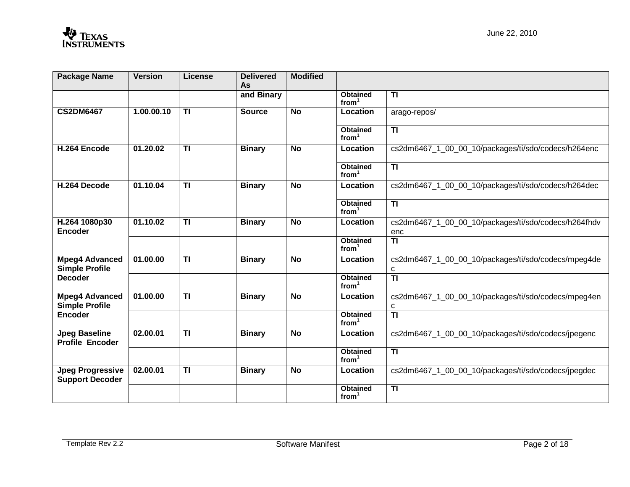| <b>Package Name</b>                                              | <b>Version</b> | <b>License</b>          | <b>Delivered</b><br>As | <b>Modified</b> |                                      |                                                             |
|------------------------------------------------------------------|----------------|-------------------------|------------------------|-----------------|--------------------------------------|-------------------------------------------------------------|
|                                                                  |                |                         | and Binary             |                 | <b>Obtained</b><br>from <sup>1</sup> | <b>TI</b>                                                   |
| <b>CS2DM6467</b>                                                 | 1.00.00.10     | $\overline{1}$          | <b>Source</b>          | $\overline{N}$  | Location                             | arago-repos/                                                |
|                                                                  |                |                         |                        |                 | <b>Obtained</b><br>from <sup>1</sup> | $\overline{\mathsf{H}}$                                     |
| H.264 Encode                                                     | 01.20.02       | TI                      | <b>Binary</b>          | <b>No</b>       | Location                             | cs2dm6467_1_00_00_10/packages/ti/sdo/codecs/h264enc         |
|                                                                  |                |                         |                        |                 | <b>Obtained</b><br>from <sup>1</sup> | <b>TI</b>                                                   |
| H.264 Decode                                                     | 01.10.04       | $\overline{\mathsf{H}}$ | <b>Binary</b>          | $\overline{N}$  | Location                             | cs2dm6467_1_00_00_10/packages/ti/sdo/codecs/h264dec         |
|                                                                  |                |                         |                        |                 | <b>Obtained</b><br>from <sup>1</sup> | $\overline{11}$                                             |
| H.264 1080p30<br>Encoder                                         | 01.10.02       | $\overline{1}$          | <b>Binary</b>          | <b>No</b>       | Location                             | cs2dm6467_1_00_00_10/packages/ti/sdo/codecs/h264fhdv<br>enc |
|                                                                  |                |                         |                        |                 | <b>Obtained</b><br>from <sup>1</sup> | $\overline{\mathsf{H}}$                                     |
| <b>Mpeg4 Advanced</b><br><b>Simple Profile</b><br><b>Decoder</b> | 01,00,00       | $\overline{\mathsf{H}}$ | <b>Binary</b>          | $\overline{N}$  | Location                             | cs2dm6467_1_00_00_10/packages/ti/sdo/codecs/mpeg4de<br>С    |
|                                                                  |                |                         |                        |                 | <b>Obtained</b><br>from <sup>1</sup> | $\overline{\mathsf{H}}$                                     |
| <b>Mpeg4 Advanced</b><br><b>Simple Profile</b>                   | 01.00.00       | $\overline{1}$          | <b>Binary</b>          | <b>No</b>       | Location                             | cs2dm6467_1_00_00_10/packages/ti/sdo/codecs/mpeg4en<br>с    |
| <b>Encoder</b>                                                   |                |                         |                        |                 | <b>Obtained</b><br>from <sup>1</sup> | $\overline{\mathsf{H}}$                                     |
| <b>Jpeg Baseline</b><br><b>Profile Encoder</b>                   | 02.00.01       | TI                      | <b>Binary</b>          | <b>No</b>       | Location                             | cs2dm6467_1_00_00_10/packages/ti/sdo/codecs/jpegenc         |
|                                                                  |                |                         |                        |                 | <b>Obtained</b><br>from <sup>1</sup> | $\overline{\textbf{t}}$                                     |
| <b>Jpeg Progressive</b><br><b>Support Decoder</b>                | 02.00.01       | $\overline{\mathsf{H}}$ | <b>Binary</b>          | <b>No</b>       | Location                             | cs2dm6467_1_00_00_10/packages/ti/sdo/codecs/jpegdec         |
|                                                                  |                |                         |                        |                 | <b>Obtained</b><br>from <sup>1</sup> | $\overline{\mathsf{H}}$                                     |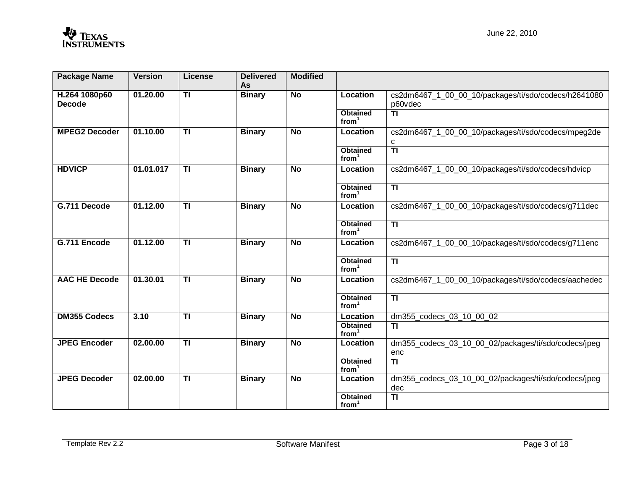| <b>Package Name</b>            | <b>Version</b> | <b>License</b>          | <b>Delivered</b><br>As | <b>Modified</b> |                                      |                                                                 |
|--------------------------------|----------------|-------------------------|------------------------|-----------------|--------------------------------------|-----------------------------------------------------------------|
| H.264 1080p60<br><b>Decode</b> | 01.20.00       | $\overline{1}$          | <b>Binary</b>          | <b>No</b>       | Location                             | cs2dm6467_1_00_00_10/packages/ti/sdo/codecs/h2641080<br>p60vdec |
|                                |                |                         |                        |                 | <b>Obtained</b><br>from <sup>1</sup> | <b>TI</b>                                                       |
| <b>MPEG2 Decoder</b>           | 01.10.00       | $\overline{\mathsf{H}}$ | <b>Binary</b>          | $\overline{N}$  | Location                             | cs2dm6467_1_00_00_10/packages/ti/sdo/codecs/mpeg2de<br>с        |
|                                |                |                         |                        |                 | <b>Obtained</b><br>from <sup>1</sup> | $\overline{\mathsf{H}}$                                         |
| <b>HDVICP</b>                  | 01.01.017      | $\overline{\mathbf{H}}$ | <b>Binary</b>          | <b>No</b>       | Location                             | cs2dm6467_1_00_00_10/packages/ti/sdo/codecs/hdvicp              |
|                                |                |                         |                        |                 | <b>Obtained</b><br>from <sup>1</sup> | $\overline{1}$                                                  |
| G.711 Decode                   | 01.12.00       | $\overline{\mathsf{H}}$ | <b>Binary</b>          | $\overline{N}$  | <b>Location</b>                      | cs2dm6467_1_00_00_10/packages/ti/sdo/codecs/g711dec             |
|                                |                |                         |                        |                 | <b>Obtained</b><br>from <sup>1</sup> | $\overline{\mathsf{H}}$                                         |
| G.711 Encode                   | 01.12.00       | $\overline{1}$          | <b>Binary</b>          | <b>No</b>       | Location                             | cs2dm6467_1_00_00_10/packages/ti/sdo/codecs/g711enc             |
|                                |                |                         |                        |                 | <b>Obtained</b><br>from <sup>1</sup> | $\overline{1}$                                                  |
| <b>AAC HE Decode</b>           | 01.30.01       | $\overline{\mathsf{H}}$ | <b>Binary</b>          | $\overline{N}$  | Location                             | cs2dm6467_1_00_00_10/packages/ti/sdo/codecs/aachedec            |
|                                |                |                         |                        |                 | <b>Obtained</b><br>from <sup>1</sup> | $\overline{\mathsf{H}}$                                         |
| <b>DM355 Codecs</b>            | 3.10           | TI                      | <b>Binary</b>          | <b>No</b>       | Location                             | dm355_codecs_03_10_00_02                                        |
|                                |                |                         |                        |                 | <b>Obtained</b><br>from <sup>1</sup> | <b>TI</b>                                                       |
| <b>JPEG Encoder</b>            | 02.00.00       | TI                      | <b>Binary</b>          | <b>No</b>       | Location                             | dm355_codecs_03_10_00_02/packages/ti/sdo/codecs/jpeg<br>enc     |
|                                |                |                         |                        |                 | <b>Obtained</b><br>from <sup>1</sup> | $\overline{\mathsf{H}}$                                         |
| <b>JPEG Decoder</b>            | 02.00.00       | $\overline{1}$          | <b>Binary</b>          | <b>No</b>       | Location                             | dm355_codecs_03_10_00_02/packages/ti/sdo/codecs/jpeg<br>dec     |
|                                |                |                         |                        |                 | <b>Obtained</b><br>from <sup>1</sup> | $\overline{\mathsf{H}}$                                         |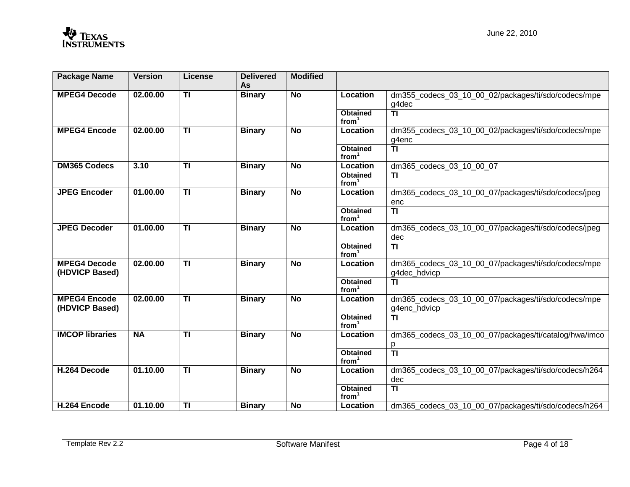| <b>Package Name</b>                   | <b>Version</b> | License         | <b>Delivered</b><br>As | <b>Modified</b> |                                      |                                                                     |
|---------------------------------------|----------------|-----------------|------------------------|-----------------|--------------------------------------|---------------------------------------------------------------------|
| <b>MPEG4 Decode</b>                   | 02.00.00       | $\overline{1}$  | <b>Binary</b>          | <b>No</b>       | Location                             | dm355_codecs_03_10_00_02/packages/ti/sdo/codecs/mpe<br>g4dec        |
|                                       |                |                 |                        |                 | <b>Obtained</b><br>from <sup>1</sup> | $\overline{\mathsf{H}}$                                             |
| <b>MPEG4 Encode</b>                   | 02.00.00       | <b>TI</b>       | <b>Binary</b>          | <b>No</b>       | Location                             | dm355_codecs_03_10_00_02/packages/ti/sdo/codecs/mpe<br>g4enc        |
|                                       |                |                 |                        |                 | <b>Obtained</b><br>from <sup>1</sup> | $\overline{\mathsf{H}}$                                             |
| <b>DM365 Codecs</b>                   | 3.10           | $\overline{1}$  | <b>Binary</b>          | <b>No</b>       | Location                             | dm365_codecs_03_10_00_07                                            |
|                                       |                |                 |                        |                 | <b>Obtained</b><br>from <sup>1</sup> | <b>TI</b>                                                           |
| <b>JPEG Encoder</b>                   | 01.00.00       | $\overline{1}$  | <b>Binary</b>          | <b>No</b>       | Location                             | dm365_codecs_03_10_00_07/packages/ti/sdo/codecs/jpeg<br>enc         |
|                                       |                |                 |                        |                 | <b>Obtained</b><br>from <sup>1</sup> | $\overline{\mathsf{H}}$                                             |
| <b>JPEG Decoder</b>                   | 01.00.00       | $\overline{1}$  | <b>Binary</b>          | <b>No</b>       | Location                             | dm365_codecs_03_10_00_07/packages/ti/sdo/codecs/jpeg<br>dec         |
|                                       |                |                 |                        |                 | <b>Obtained</b><br>from <sup>1</sup> | $\overline{\mathsf{H}}$                                             |
| <b>MPEG4 Decode</b><br>(HDVICP Based) | 02.00.00       | $\overline{1}$  | <b>Binary</b>          | <b>No</b>       | Location                             | dm365_codecs_03_10_00_07/packages/ti/sdo/codecs/mpe<br>g4dec_hdvicp |
|                                       |                |                 |                        |                 | <b>Obtained</b><br>from <sup>1</sup> | <b>TI</b>                                                           |
| <b>MPEG4 Encode</b><br>(HDVICP Based) | 02.00.00       | $\overline{11}$ | <b>Binary</b>          | $\overline{N}$  | Location                             | dm365_codecs_03_10_00_07/packages/ti/sdo/codecs/mpe<br>g4enc_hdvicp |
|                                       |                |                 |                        |                 | <b>Obtained</b><br>from <sup>1</sup> | <b>TI</b>                                                           |
| <b>IMCOP libraries</b>                | <b>NA</b>      | $\overline{1}$  | <b>Binary</b>          | <b>No</b>       | Location                             | dm365_codecs_03_10_00_07/packages/ti/catalog/hwa/imco               |
|                                       |                |                 |                        |                 |                                      | $\frac{p}{T}$                                                       |
|                                       |                |                 |                        |                 | <b>Obtained</b><br>from <sup>1</sup> |                                                                     |
| H.264 Decode                          | 01.10.00       | $\overline{1}$  | <b>Binary</b>          | <b>No</b>       | Location                             | dm365_codecs_03_10_00_07/packages/ti/sdo/codecs/h264<br>dec         |
|                                       |                |                 |                        |                 | <b>Obtained</b><br>from <sup>1</sup> | $\overline{\textbf{T}}$                                             |
| H.264 Encode                          | 01.10.00       | <b>TI</b>       | <b>Binary</b>          | <b>No</b>       | Location                             | dm365 codecs 03 10 00 07/packages/ti/sdo/codecs/h264                |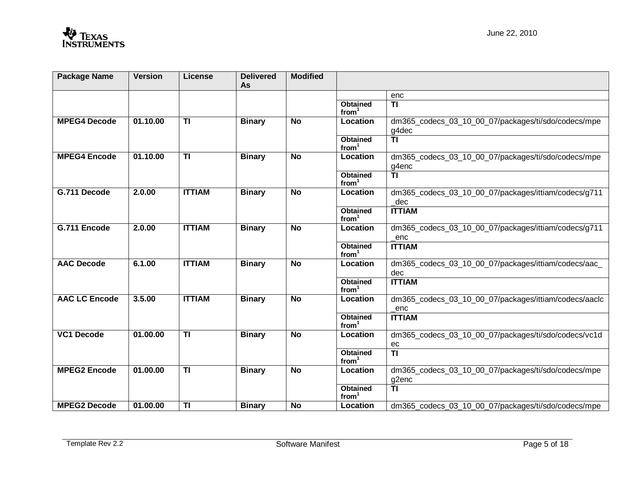| <b>Package Name</b>  | <b>Version</b> | <b>License</b>          | <b>Delivered</b><br>As | <b>Modified</b> |                                      |                                                              |
|----------------------|----------------|-------------------------|------------------------|-----------------|--------------------------------------|--------------------------------------------------------------|
|                      |                |                         |                        |                 |                                      | enc                                                          |
|                      |                |                         |                        |                 | <b>Obtained</b><br>from <sup>1</sup> | $\overline{1}$                                               |
| <b>MPEG4 Decode</b>  | 01.10.00       | $\overline{1}$          | <b>Binary</b>          | $\overline{N}$  | Location                             | dm365_codecs_03_10_00_07/packages/ti/sdo/codecs/mpe<br>g4dec |
|                      |                |                         |                        |                 | <b>Obtained</b><br>from <sup>1</sup> | $\overline{\mathsf{H}}$                                      |
| <b>MPEG4 Encode</b>  | 01.10.00       | $\overline{\mathsf{H}}$ | <b>Binary</b>          | $\overline{N}$  | Location                             | dm365 codecs 03 10 00 07/packages/ti/sdo/codecs/mpe<br>g4enc |
|                      |                |                         |                        |                 | <b>Obtained</b><br>from <sup>1</sup> | $\overline{\mathsf{H}}$                                      |
| G.711 Decode         | 2.0.00         | <b>ITTIAM</b>           | <b>Binary</b>          | <b>No</b>       | Location                             | dm365_codecs_03_10_00_07/packages/ittiam/codecs/g711<br>dec  |
|                      |                |                         |                        |                 | <b>Obtained</b><br>from <sup>1</sup> | <b>ITTIAM</b>                                                |
| G.711 Encode         | 2.0.00         | <b>ITTIAM</b>           | <b>Binary</b>          | <b>No</b>       | Location                             | dm365_codecs_03_10_00_07/packages/ittiam/codecs/g711<br>enc  |
|                      |                |                         |                        |                 | <b>Obtained</b><br>from <sup>1</sup> | <b>ITTIAM</b>                                                |
| <b>AAC Decode</b>    | 6.1.00         | <b>ITTIAM</b>           | <b>Binary</b>          | <b>No</b>       | Location                             | dm365_codecs_03_10_00_07/packages/ittiam/codecs/aac_<br>dec  |
|                      |                |                         |                        |                 | <b>Obtained</b><br>from <sup>1</sup> | <b>ITTIAM</b>                                                |
| <b>AAC LC Encode</b> | 3.5.00         | <b>ITTIAM</b>           | <b>Binary</b>          | <b>No</b>       | Location                             | dm365_codecs_03_10_00_07/packages/ittiam/codecs/aaclc<br>enc |
|                      |                |                         |                        |                 | Obtained<br>from <sup>1</sup>        | <b>ITTIAM</b>                                                |
| <b>VC1 Decode</b>    | 01.00.00       | $\overline{1}$          | <b>Binary</b>          | <b>No</b>       | Location                             | dm365_codecs_03_10_00_07/packages/ti/sdo/codecs/vc1d<br>ec   |
|                      |                |                         |                        |                 | <b>Obtained</b><br>from <sup>1</sup> | $\overline{\mathsf{H}}$                                      |
| <b>MPEG2 Encode</b>  | 01.00.00       | $\overline{1}$          | <b>Binary</b>          | <b>No</b>       | Location                             | dm365_codecs_03_10_00_07/packages/ti/sdo/codecs/mpe<br>g2enc |
|                      |                |                         |                        |                 | <b>Obtained</b><br>from <sup>1</sup> | $\overline{\text{T}}$                                        |
| <b>MPEG2 Decode</b>  | 01.00.00       | TI                      | <b>Binary</b>          | <b>No</b>       | Location                             | dm365 codecs 03 10 00 07/packages/ti/sdo/codecs/mpe          |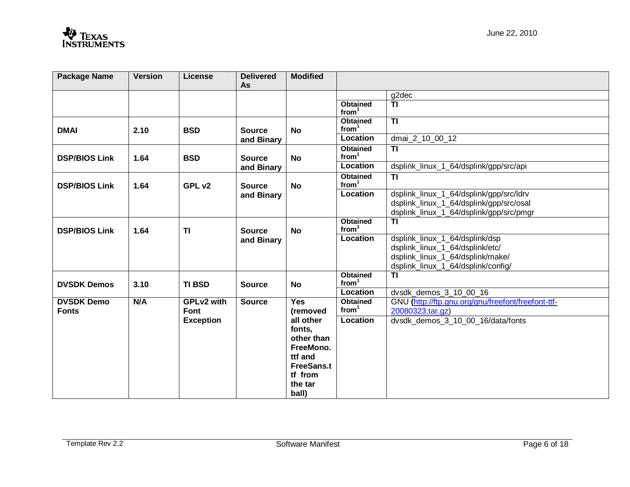| <b>Package Name</b>               | <b>Version</b> | License                   | <b>Delivered</b><br>As      | <b>Modified</b>                                                                                               |                                      |                                                                                                                                             |
|-----------------------------------|----------------|---------------------------|-----------------------------|---------------------------------------------------------------------------------------------------------------|--------------------------------------|---------------------------------------------------------------------------------------------------------------------------------------------|
|                                   |                |                           |                             |                                                                                                               |                                      | g2dec                                                                                                                                       |
|                                   |                |                           |                             |                                                                                                               | <b>Obtained</b><br>from <sup>1</sup> | <b>TI</b>                                                                                                                                   |
| <b>DMAI</b>                       | 2.10           | <b>BSD</b>                | <b>Source</b>               | <b>No</b>                                                                                                     | <b>Obtained</b><br>from              | $\overline{11}$                                                                                                                             |
|                                   |                |                           | and Binary                  |                                                                                                               | Location                             | dmai 2_10_00_12                                                                                                                             |
| <b>DSP/BIOS Link</b>              | 1.64           | <b>BSD</b>                | <b>Source</b>               | <b>No</b>                                                                                                     | <b>Obtained</b><br>from <sup>1</sup> | $\overline{\mathsf{H}}$                                                                                                                     |
|                                   |                |                           | and Binary                  |                                                                                                               | Location                             | dsplink_linux_1_64/dsplink/gpp/src/api                                                                                                      |
| <b>DSP/BIOS Link</b>              | 1.64           | GPL v2                    | <b>Source</b>               | <b>No</b>                                                                                                     | <b>Obtained</b><br>from <sup>1</sup> | $\overline{11}$                                                                                                                             |
|                                   |                |                           | and Binary                  |                                                                                                               | Location                             | dsplink_linux_1_64/dsplink/gpp/src/ldrv<br>dsplink_linux_1_64/dsplink/gpp/src/osal<br>dsplink_linux_1_64/dsplink/gpp/src/pmgr               |
| <b>DSP/BIOS Link</b>              | 1.64           | <b>TI</b>                 | <b>Source</b><br>and Binary | <b>No</b>                                                                                                     | <b>Obtained</b><br>from <sup>1</sup> | <b>TI</b>                                                                                                                                   |
|                                   |                |                           |                             |                                                                                                               | Location                             | dsplink_linux_1_64/dsplink/dsp<br>dsplink_linux_1_64/dsplink/etc/<br>dsplink_linux_1_64/dsplink/make/<br>dsplink_linux_1_64/dsplink/config/ |
| <b>DVSDK Demos</b>                | 3.10           | <b>TI BSD</b>             | <b>Source</b>               | <b>No</b>                                                                                                     | <b>Obtained</b><br>from <sup>1</sup> | $\overline{11}$                                                                                                                             |
|                                   |                |                           |                             |                                                                                                               | Location                             | dvsdk_demos_3_10_00_16                                                                                                                      |
| <b>DVSDK Demo</b><br><b>Fonts</b> | N/A            | <b>GPLv2 with</b><br>Font | <b>Source</b>               | <b>Yes</b><br>(removed                                                                                        | <b>Obtained</b><br>from <sup>1</sup> | GNU (http://ftp.gnu.org/gnu/freefont/freefont-ttf-<br>20080323.tar.gz)                                                                      |
|                                   |                | <b>Exception</b>          |                             | all other<br>fonts,<br>other than<br>FreeMono.<br>ttf and<br><b>FreeSans.t</b><br>tf from<br>the tar<br>ball) | Location                             | dvsdk demos 3 10 00 16/data/fonts                                                                                                           |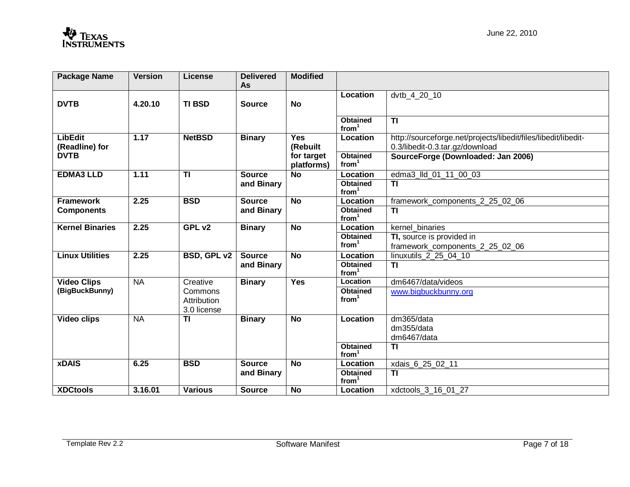| <b>Package Name</b>              | <b>Version</b> | <b>License</b>                        | <b>Delivered</b><br><b>As</b> | <b>Modified</b>          |                                      |                                                                                                   |
|----------------------------------|----------------|---------------------------------------|-------------------------------|--------------------------|--------------------------------------|---------------------------------------------------------------------------------------------------|
| <b>DVTB</b>                      | 4.20.10        | <b>TI BSD</b>                         | <b>Source</b>                 | <b>No</b>                | Location                             | dvtb_4_20_10                                                                                      |
|                                  |                |                                       |                               |                          | <b>Obtained</b><br>from <sup>1</sup> | $\overline{\mathsf{H}}$                                                                           |
| <b>LibEdit</b><br>(Readline) for | 1.17           | <b>NetBSD</b>                         | <b>Binary</b>                 | Yes<br>(Rebuilt          | Location                             | http://sourceforge.net/projects/libedit/files/libedit/libedit-<br>0.3/libedit-0.3.tar.gz/download |
| <b>DVTB</b>                      |                |                                       |                               | for target<br>platforms) | <b>Obtained</b><br>from <sup>1</sup> | SourceForge (Downloaded: Jan 2006)                                                                |
| <b>EDMA3 LLD</b>                 | 1.11           | $\overline{1}$                        | <b>Source</b>                 | $\overline{N}$           | Location                             | edma3_lld_01_11_00_03                                                                             |
|                                  |                |                                       | and Binary                    |                          | <b>Obtained</b><br>from <sup>1</sup> | <b>TI</b>                                                                                         |
| <b>Framework</b>                 | 2.25           | <b>BSD</b>                            | <b>Source</b>                 | <b>No</b>                | Location                             | framework components 2 25 02 06                                                                   |
| <b>Components</b>                |                |                                       | and Binary                    |                          | <b>Obtained</b><br>from <sup>1</sup> | <b>TI</b>                                                                                         |
| <b>Kernel Binaries</b>           | 2.25           | GPL v2                                | <b>Binary</b>                 | $\overline{N}$           | Location                             | kernel binaries                                                                                   |
|                                  |                |                                       |                               |                          | <b>Obtained</b>                      | TI, source is provided in                                                                         |
|                                  |                |                                       |                               |                          | from <sup>1</sup>                    | framework_components_2_25_02_06                                                                   |
| <b>Linux Utilities</b>           | 2.25           | <b>BSD, GPL v2</b>                    | <b>Source</b>                 | <b>No</b>                | Location                             | linuxutils 2 25 04 10                                                                             |
|                                  |                |                                       | and Binary                    |                          | <b>Obtained</b><br>from <sup>1</sup> | $\overline{11}$                                                                                   |
| <b>Video Clips</b>               | $N_A$          | Creative                              | <b>Binary</b>                 | <b>Yes</b>               | Location                             | dm6467/data/videos                                                                                |
| (BigBuckBunny)                   |                | Commons<br>Attribution<br>3.0 license |                               |                          | <b>Obtained</b><br>from <sup>1</sup> | www.bigbuckbunny.org                                                                              |
| <b>Video clips</b>               | <b>NA</b>      | $\overline{1}$                        | <b>Binary</b>                 | $\overline{N}$           | Location                             | dm365/data<br>dm355/data<br>dm6467/data                                                           |
|                                  |                |                                       |                               |                          | <b>Obtained</b><br>from <sup>1</sup> | $\overline{\mathsf{H}}$                                                                           |
| <b>xDAIS</b>                     | 6.25           | <b>BSD</b>                            | <b>Source</b>                 | <b>No</b>                | Location                             | xdais_6_25_02_11                                                                                  |
|                                  |                |                                       | and Binary                    |                          | <b>Obtained</b><br>from <sup>1</sup> | $\overline{11}$                                                                                   |
| <b>XDCtools</b>                  | 3.16.01        | <b>Various</b>                        | <b>Source</b>                 | $\overline{N}$           | Location                             | xdctools_3_16_01_27                                                                               |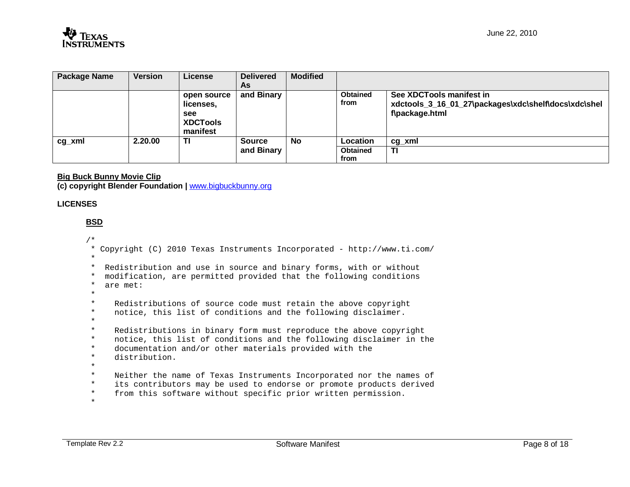| <b>Package Name</b> | <b>Version</b> | License         | <b>Delivered</b> | <b>Modified</b> |                 |                                                      |
|---------------------|----------------|-----------------|------------------|-----------------|-----------------|------------------------------------------------------|
|                     |                |                 | As               |                 |                 |                                                      |
|                     |                | open source     | and Binary       |                 | <b>Obtained</b> | See XDCTools manifest in                             |
|                     |                | licenses,       |                  |                 | from            | xdctools_3_16_01_27\packages\xdc\shelf\docs\xdc\shel |
|                     |                | see             |                  |                 |                 | f\package.html                                       |
|                     |                | <b>XDCTools</b> |                  |                 |                 |                                                      |
|                     |                | manifest        |                  |                 |                 |                                                      |
| cg_xml              | 2.20.00        | ΤI              | <b>Source</b>    | No              | Location        | cg xml                                               |
|                     |                |                 | and Binary       |                 | <b>Obtained</b> | ΤI                                                   |
|                     |                |                 |                  |                 | from            |                                                      |

## **Big Buck Bunny Movie Clip**

**(c) copyright Blender Foundation |** www.bigbuckbunny.org

## **LICENSES**

# **BSD** /\*

 \* Copyright (C) 2010 Texas Instruments Incorporated - http://www.ti.com/ \* \* Redistribution and use in source and binary forms, with or without \* modification, are permitted provided that the following conditions \* are met: \*  $\star$ Redistributions of source code must retain the above copyright \* notice, this list of conditions and the following disclaimer. \*  $\star$ Redistributions in binary form must reproduce the above copyright \* notice, this list of conditions and the following disclaimer in the \* documentation and/or other materials provided with the \* distribution. \*  $\star$ Neither the name of Texas Instruments Incorporated nor the names of \* its contributors may be used to endorse or promote products derived \* from this software without specific prior written permission. \*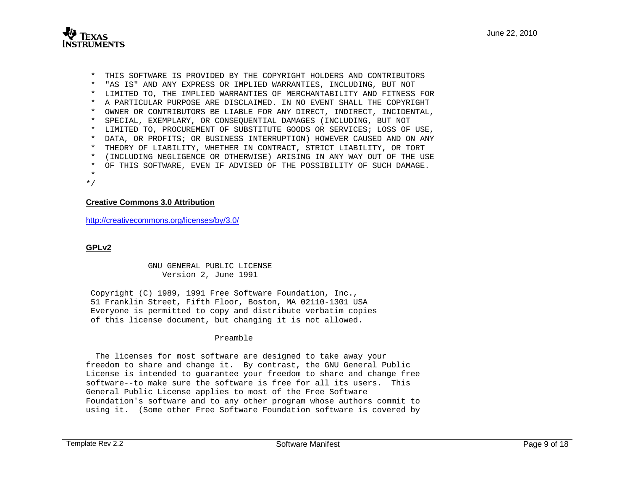

 \* THIS SOFTWARE IS PROVIDED BY THE COPYRIGHT HOLDERS AND CONTRIBUTORS \* "AS IS" AND ANY EXPRESS OR IMPLIED WARRANTIES, INCLUDING, BUT NOT \* LIMITED TO, THE IMPLIED WARRANTIES OF MERCHANTABILITY AND FITNESS FOR \* A PARTICULAR PURPOSE ARE DISCLAIMED. IN NO EVENT SHALL THE COPYRIGHT \* OWNER OR CONTRIBUTORS BE LIABLE FOR ANY DIRECT, INDIRECT, INCIDENTAL, \* SPECIAL, EXEMPLARY, OR CONSEQUENTIAL DAMAGES (INCLUDING, BUT NOT \* LIMITED TO, PROCUREMENT OF SUBSTITUTE GOODS OR SERVICES; LOSS OF USE, \* DATA, OR PROFITS; OR BUSINESS INTERRUPTION) HOWEVER CAUSED AND ON ANY \* THEORY OF LIABILITY, WHETHER IN CONTRACT, STRICT LIABILITY, OR TORT \* (INCLUDING NEGLIGENCE OR OTHERWISE) ARISING IN ANY WAY OUT OF THE USE \* OF THIS SOFTWARE, EVEN IF ADVISED OF THE POSSIBILITY OF SUCH DAMAGE. \*

#### \*/

### **Creative Commons 3.0 Attribution**

http://creativecommons.org/licenses/by/3.0/

### **GPLv2**

 GNU GENERAL PUBLIC LICENSE Version 2, June 1991

 Copyright (C) 1989, 1991 Free Software Foundation, Inc., 51 Franklin Street, Fifth Floor, Boston, MA 02110-1301 USA Everyone is permitted to copy and distribute verbatim copies of this license document, but changing it is not allowed.

### Preamble

 The licenses for most software are designed to take away your freedom to share and change it. By contrast, the GNU General Public License is intended to guarantee your freedom to share and change free software--to make sure the software is free for all its users. This General Public License applies to most of the Free Software Foundation's software and to any other program whose authors commit to using it. (Some other Free Software Foundation software is covered by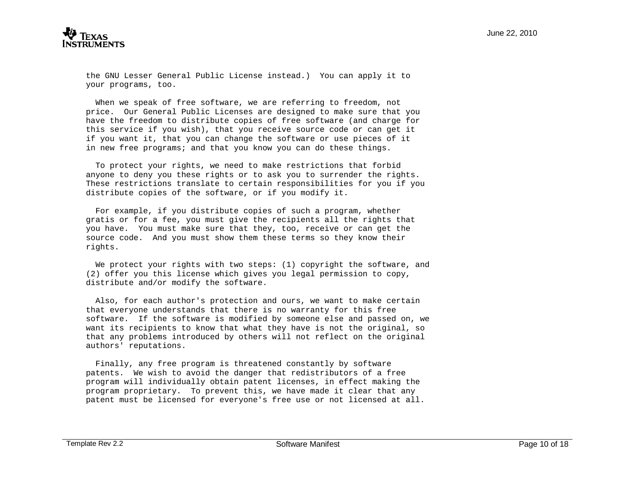

the GNU Lesser General Public License instead.) You can apply it to your programs, too.

 When we speak of free software, we are referring to freedom, not price. Our General Public Licenses are designed to make sure that you have the freedom to distribute copies of free software (and charge for this service if you wish), that you receive source code or can get it if you want it, that you can change the software or use pieces of it in new free programs; and that you know you can do these things.

 To protect your rights, we need to make restrictions that forbid anyone to deny you these rights or to ask you to surrender the rights. These restrictions translate to certain responsibilities for you if you distribute copies of the software, or if you modify it.

 For example, if you distribute copies of such a program, whether gratis or for a fee, you must give the recipients all the rights that you have. You must make sure that they, too, receive or can get the source code. And you must show them these terms so they know their rights.

We protect your rights with two steps: (1) copyright the software, and (2) offer you this license which gives you legal permission to copy, distribute and/or modify the software.

 Also, for each author's protection and ours, we want to make certain that everyone understands that there is no warranty for this free software. If the software is modified by someone else and passed on, we want its recipients to know that what they have is not the original, so that any problems introduced by others will not reflect on the original authors' reputations.

 Finally, any free program is threatened constantly by software patents. We wish to avoid the danger that redistributors of a free program will individually obtain patent licenses, in effect making the program proprietary. To prevent this, we have made it clear that any patent must be licensed for everyone's free use or not licensed at all.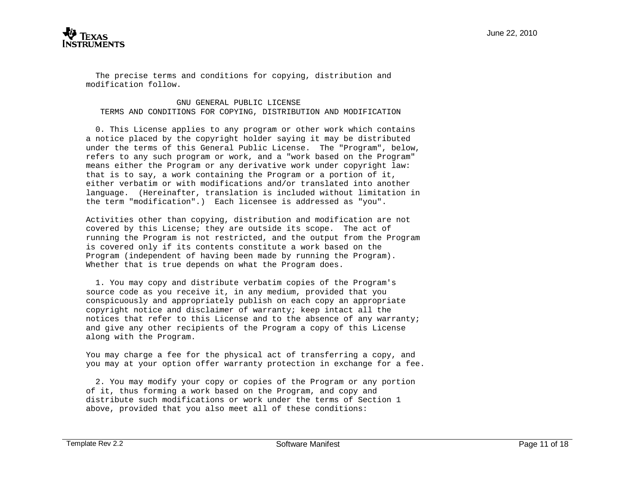

 The precise terms and conditions for copying, distribution and modification follow.

### GNU GENERAL PUBLIC LICENSE TERMS AND CONDITIONS FOR COPYING, DISTRIBUTION AND MODIFICATION

 0. This License applies to any program or other work which contains a notice placed by the copyright holder saying it may be distributed under the terms of this General Public License. The "Program", below, refers to any such program or work, and a "work based on the Program" means either the Program or any derivative work under copyright law: that is to say, a work containing the Program or a portion of it, either verbatim or with modifications and/or translated into another language. (Hereinafter, translation is included without limitation in the term "modification".) Each licensee is addressed as "you".

Activities other than copying, distribution and modification are not covered by this License; they are outside its scope. The act of running the Program is not restricted, and the output from the Program is covered only if its contents constitute a work based on the Program (independent of having been made by running the Program). Whether that is true depends on what the Program does.

 1. You may copy and distribute verbatim copies of the Program's source code as you receive it, in any medium, provided that you conspicuously and appropriately publish on each copy an appropriate copyright notice and disclaimer of warranty; keep intact all the notices that refer to this License and to the absence of any warranty; and give any other recipients of the Program a copy of this License along with the Program.

You may charge a fee for the physical act of transferring a copy, and you may at your option offer warranty protection in exchange for a fee.

 2. You may modify your copy or copies of the Program or any portion of it, thus forming a work based on the Program, and copy and distribute such modifications or work under the terms of Section 1 above, provided that you also meet all of these conditions: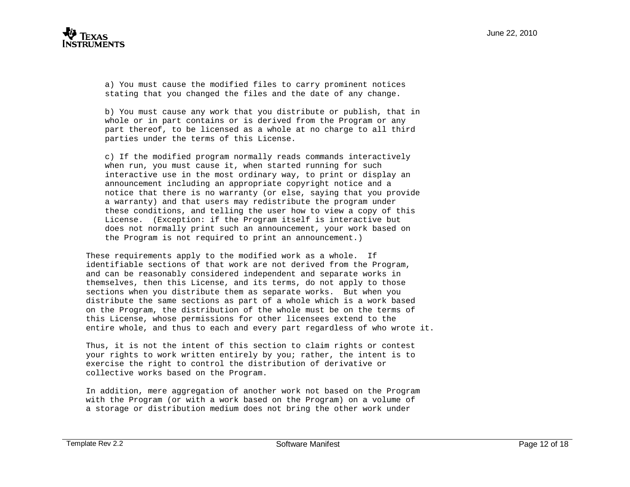

 a) You must cause the modified files to carry prominent notices stating that you changed the files and the date of any change.

 b) You must cause any work that you distribute or publish, that in whole or in part contains or is derived from the Program or any part thereof, to be licensed as a whole at no charge to all third parties under the terms of this License.

 c) If the modified program normally reads commands interactively when run, you must cause it, when started running for such interactive use in the most ordinary way, to print or display an announcement including an appropriate copyright notice and a notice that there is no warranty (or else, saying that you provide a warranty) and that users may redistribute the program under these conditions, and telling the user how to view a copy of this License. (Exception: if the Program itself is interactive but does not normally print such an announcement, your work based on the Program is not required to print an announcement.)

These requirements apply to the modified work as a whole. If identifiable sections of that work are not derived from the Program, and can be reasonably considered independent and separate works in themselves, then this License, and its terms, do not apply to those sections when you distribute them as separate works. But when you distribute the same sections as part of a whole which is a work based on the Program, the distribution of the whole must be on the terms of this License, whose permissions for other licensees extend to the entire whole, and thus to each and every part regardless of who wrote it.

Thus, it is not the intent of this section to claim rights or contest your rights to work written entirely by you; rather, the intent is to exercise the right to control the distribution of derivative or collective works based on the Program.

In addition, mere aggregation of another work not based on the Program with the Program (or with a work based on the Program) on a volume of a storage or distribution medium does not bring the other work under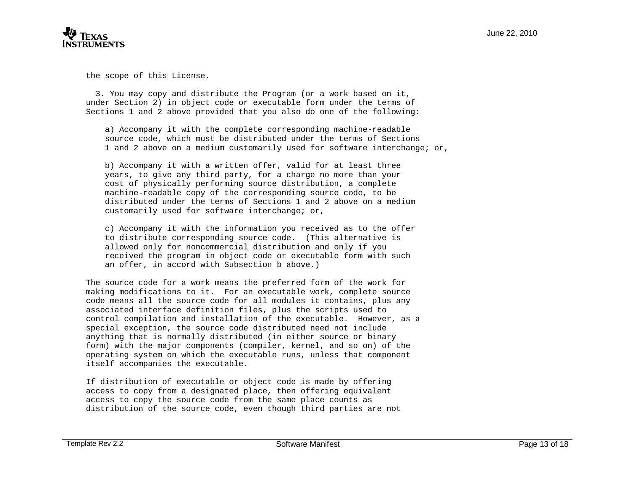

the scope of this License.

 3. You may copy and distribute the Program (or a work based on it, under Section 2) in object code or executable form under the terms of Sections 1 and 2 above provided that you also do one of the following:

 a) Accompany it with the complete corresponding machine-readable source code, which must be distributed under the terms of Sections 1 and 2 above on a medium customarily used for software interchange; or,

 b) Accompany it with a written offer, valid for at least three years, to give any third party, for a charge no more than your cost of physically performing source distribution, a complete machine-readable copy of the corresponding source code, to be distributed under the terms of Sections 1 and 2 above on a medium customarily used for software interchange; or,

 c) Accompany it with the information you received as to the offer to distribute corresponding source code. (This alternative is allowed only for noncommercial distribution and only if you received the program in object code or executable form with such an offer, in accord with Subsection b above.)

The source code for a work means the preferred form of the work for making modifications to it. For an executable work, complete source code means all the source code for all modules it contains, plus any associated interface definition files, plus the scripts used to control compilation and installation of the executable. However, as a special exception, the source code distributed need not include anything that is normally distributed (in either source or binary form) with the major components (compiler, kernel, and so on) of the operating system on which the executable runs, unless that component itself accompanies the executable.

If distribution of executable or object code is made by offering access to copy from a designated place, then offering equivalent access to copy the source code from the same place counts as distribution of the source code, even though third parties are not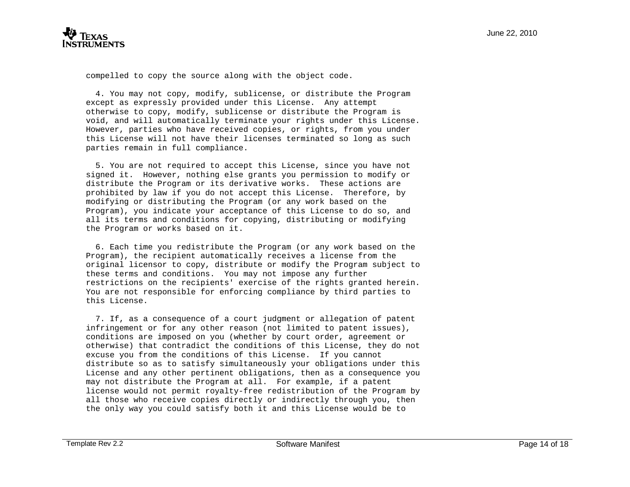compelled to copy the source along with the object code.

 4. You may not copy, modify, sublicense, or distribute the Program except as expressly provided under this License. Any attempt otherwise to copy, modify, sublicense or distribute the Program is void, and will automatically terminate your rights under this License. However, parties who have received copies, or rights, from you under this License will not have their licenses terminated so long as such parties remain in full compliance.

 5. You are not required to accept this License, since you have not signed it. However, nothing else grants you permission to modify or distribute the Program or its derivative works. These actions are prohibited by law if you do not accept this License. Therefore, by modifying or distributing the Program (or any work based on the Program), you indicate your acceptance of this License to do so, and all its terms and conditions for copying, distributing or modifying the Program or works based on it.

 6. Each time you redistribute the Program (or any work based on the Program), the recipient automatically receives a license from the original licensor to copy, distribute or modify the Program subject to these terms and conditions. You may not impose any further restrictions on the recipients' exercise of the rights granted herein. You are not responsible for enforcing compliance by third parties to this License.

 7. If, as a consequence of a court judgment or allegation of patent infringement or for any other reason (not limited to patent issues), conditions are imposed on you (whether by court order, agreement or otherwise) that contradict the conditions of this License, they do not excuse you from the conditions of this License. If you cannot distribute so as to satisfy simultaneously your obligations under this License and any other pertinent obligations, then as a consequence you may not distribute the Program at all. For example, if a patent license would not permit royalty-free redistribution of the Program by all those who receive copies directly or indirectly through you, then the only way you could satisfy both it and this License would be to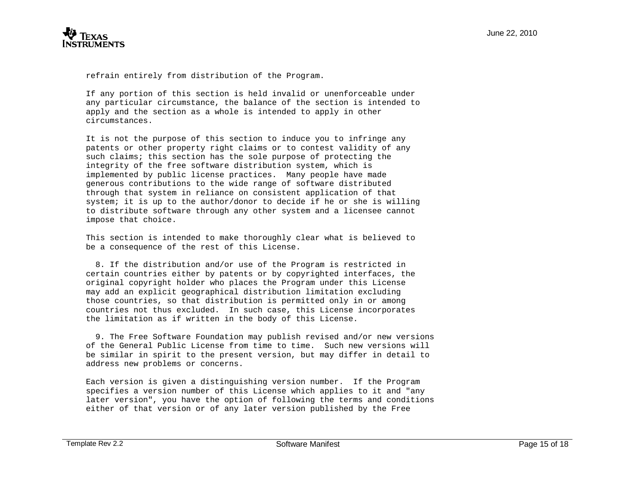

refrain entirely from distribution of the Program.

If any portion of this section is held invalid or unenforceable under any particular circumstance, the balance of the section is intended to apply and the section as a whole is intended to apply in other circumstances.

It is not the purpose of this section to induce you to infringe any patents or other property right claims or to contest validity of any such claims; this section has the sole purpose of protecting the integrity of the free software distribution system, which is implemented by public license practices. Many people have made generous contributions to the wide range of software distributed through that system in reliance on consistent application of that system; it is up to the author/donor to decide if he or she is willing to distribute software through any other system and a licensee cannot impose that choice.

This section is intended to make thoroughly clear what is believed to be a consequence of the rest of this License.

 8. If the distribution and/or use of the Program is restricted in certain countries either by patents or by copyrighted interfaces, the original copyright holder who places the Program under this License may add an explicit geographical distribution limitation excluding those countries, so that distribution is permitted only in or among countries not thus excluded. In such case, this License incorporates the limitation as if written in the body of this License.

 9. The Free Software Foundation may publish revised and/or new versions of the General Public License from time to time. Such new versions will be similar in spirit to the present version, but may differ in detail to address new problems or concerns.

Each version is given a distinguishing version number. If the Program specifies a version number of this License which applies to it and "any later version", you have the option of following the terms and conditions either of that version or of any later version published by the Free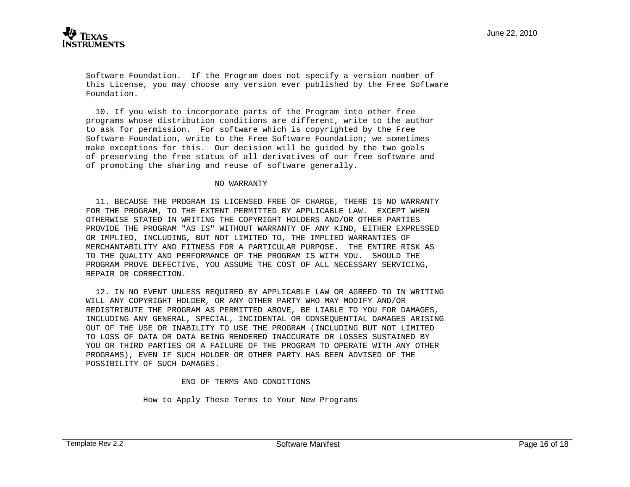Software Foundation. If the Program does not specify a version number of this License, you may choose any version ever published by the Free Software Foundation.

 10. If you wish to incorporate parts of the Program into other free programs whose distribution conditions are different, write to the author to ask for permission. For software which is copyrighted by the Free Software Foundation, write to the Free Software Foundation; we sometimes make exceptions for this. Our decision will be guided by the two goals of preserving the free status of all derivatives of our free software and of promoting the sharing and reuse of software generally.

#### NO WARRANTY

 11. BECAUSE THE PROGRAM IS LICENSED FREE OF CHARGE, THERE IS NO WARRANTY FOR THE PROGRAM, TO THE EXTENT PERMITTED BY APPLICABLE LAW. EXCEPT WHEN OTHERWISE STATED IN WRITING THE COPYRIGHT HOLDERS AND/OR OTHER PARTIES PROVIDE THE PROGRAM "AS IS" WITHOUT WARRANTY OF ANY KIND, EITHER EXPRESSED OR IMPLIED, INCLUDING, BUT NOT LIMITED TO, THE IMPLIED WARRANTIES OF MERCHANTABILITY AND FITNESS FOR A PARTICULAR PURPOSE. THE ENTIRE RISK AS TO THE QUALITY AND PERFORMANCE OF THE PROGRAM IS WITH YOU. SHOULD THE PROGRAM PROVE DEFECTIVE, YOU ASSUME THE COST OF ALL NECESSARY SERVICING, REPAIR OR CORRECTION.

 12. IN NO EVENT UNLESS REQUIRED BY APPLICABLE LAW OR AGREED TO IN WRITING WILL ANY COPYRIGHT HOLDER, OR ANY OTHER PARTY WHO MAY MODIFY AND/OR REDISTRIBUTE THE PROGRAM AS PERMITTED ABOVE, BE LIABLE TO YOU FOR DAMAGES, INCLUDING ANY GENERAL, SPECIAL, INCIDENTAL OR CONSEQUENTIAL DAMAGES ARISING OUT OF THE USE OR INABILITY TO USE THE PROGRAM (INCLUDING BUT NOT LIMITED TO LOSS OF DATA OR DATA BEING RENDERED INACCURATE OR LOSSES SUSTAINED BY YOU OR THIRD PARTIES OR A FAILURE OF THE PROGRAM TO OPERATE WITH ANY OTHER PROGRAMS), EVEN IF SUCH HOLDER OR OTHER PARTY HAS BEEN ADVISED OF THE POSSIBILITY OF SUCH DAMAGES.

END OF TERMS AND CONDITIONS

How to Apply These Terms to Your New Programs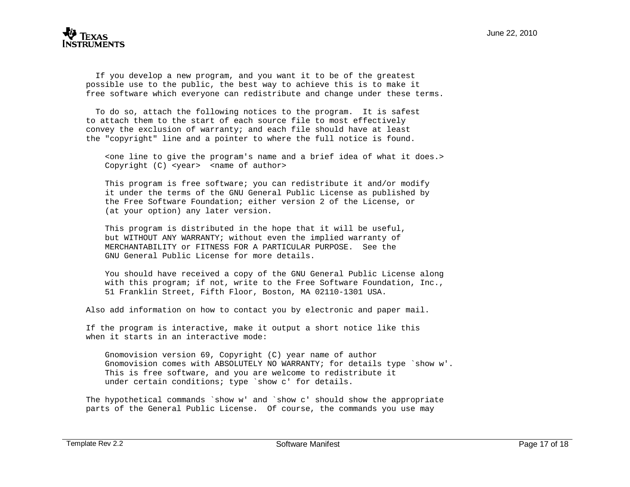

 If you develop a new program, and you want it to be of the greatest possible use to the public, the best way to achieve this is to make it free software which everyone can redistribute and change under these terms.

 To do so, attach the following notices to the program. It is safest to attach them to the start of each source file to most effectively convey the exclusion of warranty; and each file should have at least the "copyright" line and a pointer to where the full notice is found.

 <one line to give the program's name and a brief idea of what it does.> Copyright (C) <year> <name of author>

 This program is free software; you can redistribute it and/or modify it under the terms of the GNU General Public License as published by the Free Software Foundation; either version 2 of the License, or (at your option) any later version.

 This program is distributed in the hope that it will be useful, but WITHOUT ANY WARRANTY; without even the implied warranty of MERCHANTABILITY or FITNESS FOR A PARTICULAR PURPOSE. See the GNU General Public License for more details.

 You should have received a copy of the GNU General Public License along with this program; if not, write to the Free Software Foundation, Inc., 51 Franklin Street, Fifth Floor, Boston, MA 02110-1301 USA.

Also add information on how to contact you by electronic and paper mail.

If the program is interactive, make it output a short notice like this when it starts in an interactive mode:

 Gnomovision version 69, Copyright (C) year name of author Gnomovision comes with ABSOLUTELY NO WARRANTY; for details type `show w'. This is free software, and you are welcome to redistribute it under certain conditions; type `show c' for details.

The hypothetical commands `show w' and `show c' should show the appropriate parts of the General Public License. Of course, the commands you use may